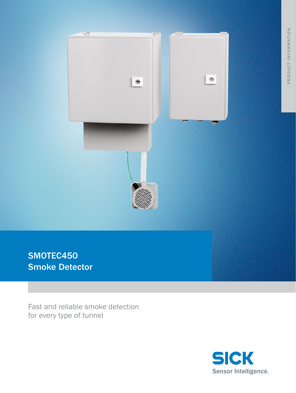

SMOTEC450 **Smoke Detector** 

Fast and reliable smoke detection for every type of tunnel

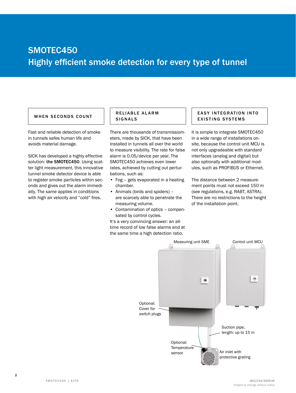## SMOTEC450 Highly efficient smoke detection for every type of tunnel

#### WHEN SECONDS COUNT | SIGNALS

Fast and reliable detection of smoke in tunnels safes human life and avoids material damage.

SICK has developed a highly effective solution: the SMOTEC450. Using scatter light measurement, this innovative tunnel smoke detector device is able to register smoke particles within seconds and gives out the alarm immediatly. The same applies in conditions with high air velocity and "cold" fires.

# RELIABLE ALARM

There are thousands of transmissiometers, made by SICK, that have been installed in tunnels all over the world to measure visibility. The rate for false alarm is 0.05/device per year. The SMOTEC450 achieves even lower rates, achieved by cutting out perturbations, such as:

- Fog gets evaporated in a heating chamber.
- Animals (birds and spiders) are scarcely able to penetrate the measuring volume.
- Contamination of optics compensated by control cycles.

It's a very convincing answer: an alltime record of low false alarms and at the same time a high detection ratio.

#### **EASY INTEGRATION INTO** EXISTING SYSTEMS

It is simple to integrate SMOTEC450 in a wide range of installations onsite, because the control unit MCU is not only upgradeable with standard interfaces (analog and digital) but also optionally with additional modules, such as PROFIBUS or Ethernet.

The distance between 2 measurement points must not exceed 150 m (see regulations, e.g. RABT, ASTRA). There are no restrictions to the height of the installation point.

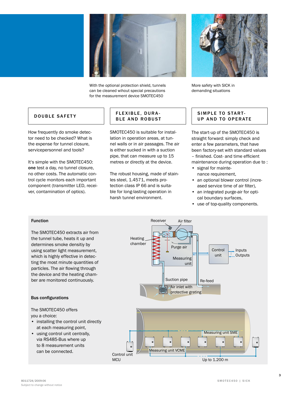

With the optional protection shield, tunnels can be cleaned wihout special precautions for the measurement device SMOTEC450



More safety with SICK in demanding situations

#### DOUBLE SAFETY

How frequently do smoke detector need to be checked? What is the expense for tunnel closure, servicepersonnel and tools?

It's simple with the SMOTEC450: one test a day, no tunnel closure, no other costs. The automatic control cycle monitors each important component (transmitter LED, receiver, contamination of optics).

#### FLEXIBLE, DURA-**BLE AND ROBUST**

SMOTEC450 is suitable for installation in operation areas, at tunnel walls or in air passages. The air is either sucked in with a suction pipe, that can measure up to 15 metres or directly at the device.

The robust housing, made of stainles steel, 1.4571, meets protection class IP 66 and is suitable for long-lasting operation in harsh tunnel environment.

#### SIMPLE TO START-UP AND TO OPERATE

The start-up of the SMOTEC450 is straight forward: simply check and enter a few parameters, that have been factory-set with standard values – finished. Cost- and time efficient maintenance during operation due to :

- signal for maintenance requirement,
- an optional blower control (increased service time of air filter),
- an integrated purge-air for optical boundary surfaces,
- use of top-quality components.

#### Function

The SMOTEC450 extracts air from the tunnel tube, heats it up and determines smoke densitiy by using scatter light measurement, which is highly effective in detecting the most minute quantities of particles. The air flowing through the device and the heating chamber are monitored continuously.

#### Bus configurations

### The SMOTEC450 offers

you a choice:

- installing the control unit directly at each measuring point,
- using control unit centrally, via RS485-Bus where up to 8 measurement units can be connected. Control unit